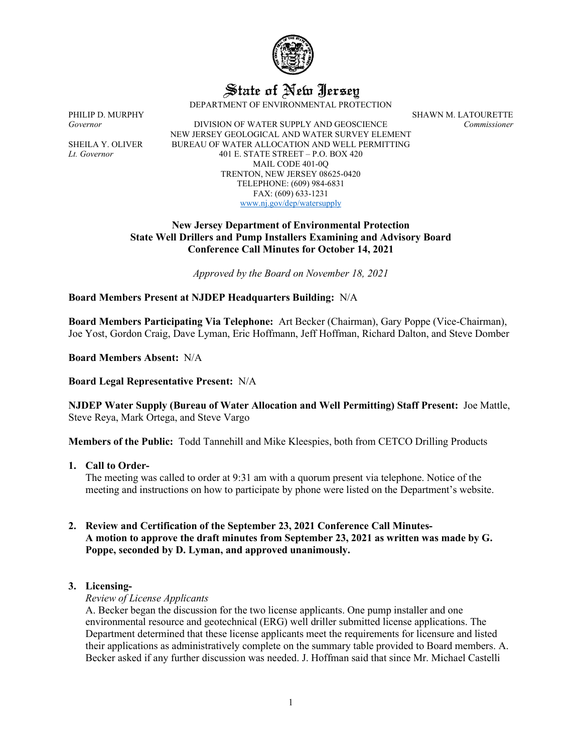

State of New Jersey

DEPARTMENT OF ENVIRONMENTAL PROTECTION

*Governor* DIVISION OF WATER SUPPLY AND GEOSCIENCE *Commissioner* NEW JERSEY GEOLOGICAL AND WATER SURVEY ELEMENT SHEILA Y. OLIVER BUREAU OF WATER ALLOCATION AND WELL PERMITTING *Lt. Governor* 401 E. STATE STREET – P.O. BOX 420 MAIL CODE 401-0Q TRENTON, NEW JERSEY 08625-0420 TELEPHONE: (609) 984-6831 FAX: (609) 633-1231 [www.nj.gov/dep/watersupply](http://www.nj.gov/dep/watersupply)

PHILIP D. MURPHY SHAWN M. LATOURETTE

#### **New Jersey Department of Environmental Protection State Well Drillers and Pump Installers Examining and Advisory Board Conference Call Minutes for October 14, 2021**

*Approved by the Board on November 18, 2021*

#### **Board Members Present at NJDEP Headquarters Building:** N/A

**Board Members Participating Via Telephone:** Art Becker (Chairman), Gary Poppe (Vice-Chairman), Joe Yost, Gordon Craig, Dave Lyman, Eric Hoffmann, Jeff Hoffman, Richard Dalton, and Steve Domber

**Board Members Absent:** N/A

**Board Legal Representative Present:** N/A

**NJDEP Water Supply (Bureau of Water Allocation and Well Permitting) Staff Present:** Joe Mattle, Steve Reya, Mark Ortega, and Steve Vargo

**Members of the Public:** Todd Tannehill and Mike Kleespies, both from CETCO Drilling Products

#### **1. Call to Order-**

The meeting was called to order at 9:31 am with a quorum present via telephone. Notice of the meeting and instructions on how to participate by phone were listed on the Department's website.

## **2. Review and Certification of the September 23, 2021 Conference Call Minutes-A motion to approve the draft minutes from September 23, 2021 as written was made by G. Poppe, seconded by D. Lyman, and approved unanimously.**

#### **3. Licensing-**

#### *Review of License Applicants*

A. Becker began the discussion for the two license applicants. One pump installer and one environmental resource and geotechnical (ERG) well driller submitted license applications. The Department determined that these license applicants meet the requirements for licensure and listed their applications as administratively complete on the summary table provided to Board members. A. Becker asked if any further discussion was needed. J. Hoffman said that since Mr. Michael Castelli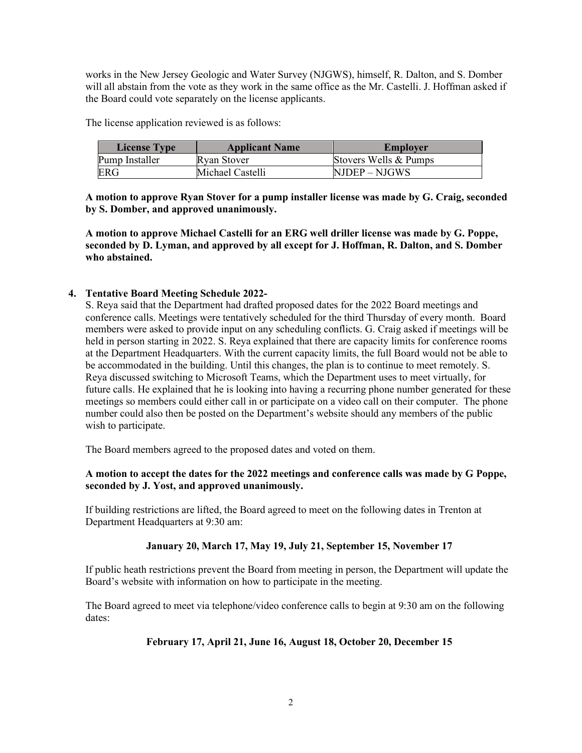works in the New Jersey Geologic and Water Survey (NJGWS), himself, R. Dalton, and S. Domber will all abstain from the vote as they work in the same office as the Mr. Castelli. J. Hoffman asked if the Board could vote separately on the license applicants.

The license application reviewed is as follows:

| <b>License Type</b> | <b>Applicant Name</b> | <b>Employer</b>       |
|---------------------|-----------------------|-----------------------|
| Pump Installer      | Ryan Stover           | Stovers Wells & Pumps |
| <b>ERG</b>          | Michael Castelli      | NJDEP – NJGWS         |

**A motion to approve Ryan Stover for a pump installer license was made by G. Craig, seconded by S. Domber, and approved unanimously.**

**A motion to approve Michael Castelli for an ERG well driller license was made by G. Poppe, seconded by D. Lyman, and approved by all except for J. Hoffman, R. Dalton, and S. Domber who abstained.**

# **4. Tentative Board Meeting Schedule 2022-**

S. Reya said that the Department had drafted proposed dates for the 2022 Board meetings and conference calls. Meetings were tentatively scheduled for the third Thursday of every month. Board members were asked to provide input on any scheduling conflicts. G. Craig asked if meetings will be held in person starting in 2022. S. Reya explained that there are capacity limits for conference rooms at the Department Headquarters. With the current capacity limits, the full Board would not be able to be accommodated in the building. Until this changes, the plan is to continue to meet remotely. S. Reya discussed switching to Microsoft Teams, which the Department uses to meet virtually, for future calls. He explained that he is looking into having a recurring phone number generated for these meetings so members could either call in or participate on a video call on their computer. The phone number could also then be posted on the Department's website should any members of the public wish to participate.

The Board members agreed to the proposed dates and voted on them.

# **A motion to accept the dates for the 2022 meetings and conference calls was made by G Poppe, seconded by J. Yost, and approved unanimously.**

If building restrictions are lifted, the Board agreed to meet on the following dates in Trenton at Department Headquarters at 9:30 am:

#### **January 20, March 17, May 19, July 21, September 15, November 17**

If public heath restrictions prevent the Board from meeting in person, the Department will update the Board's website with information on how to participate in the meeting.

The Board agreed to meet via telephone/video conference calls to begin at 9:30 am on the following dates:

#### **February 17, April 21, June 16, August 18, October 20, December 15**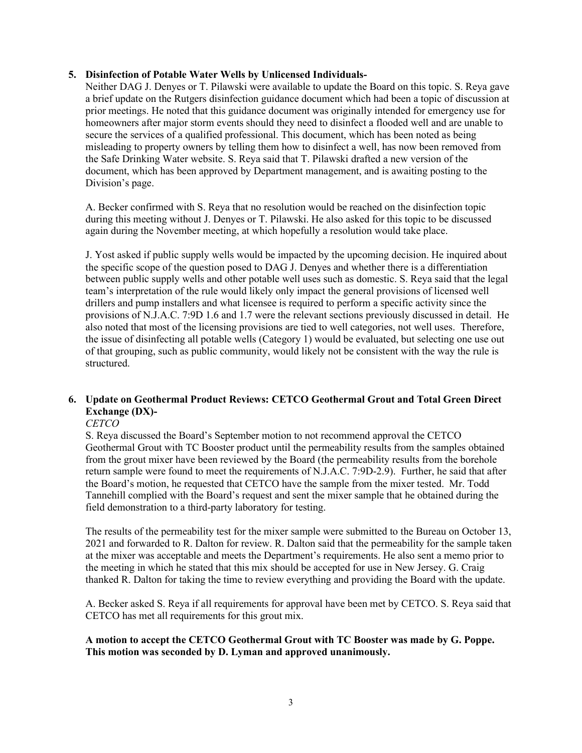#### **5. Disinfection of Potable Water Wells by Unlicensed Individuals-**

Neither DAG J. Denyes or T. Pilawski were available to update the Board on this topic. S. Reya gave a brief update on the Rutgers disinfection guidance document which had been a topic of discussion at prior meetings. He noted that this guidance document was originally intended for emergency use for homeowners after major storm events should they need to disinfect a flooded well and are unable to secure the services of a qualified professional. This document, which has been noted as being misleading to property owners by telling them how to disinfect a well, has now been removed from the Safe Drinking Water website. S. Reya said that T. Pilawski drafted a new version of the document, which has been approved by Department management, and is awaiting posting to the Division's page.

A. Becker confirmed with S. Reya that no resolution would be reached on the disinfection topic during this meeting without J. Denyes or T. Pilawski. He also asked for this topic to be discussed again during the November meeting, at which hopefully a resolution would take place.

J. Yost asked if public supply wells would be impacted by the upcoming decision. He inquired about the specific scope of the question posed to DAG J. Denyes and whether there is a differentiation between public supply wells and other potable well uses such as domestic. S. Reya said that the legal team's interpretation of the rule would likely only impact the general provisions of licensed well drillers and pump installers and what licensee is required to perform a specific activity since the provisions of N.J.A.C. 7:9D 1.6 and 1.7 were the relevant sections previously discussed in detail. He also noted that most of the licensing provisions are tied to well categories, not well uses. Therefore, the issue of disinfecting all potable wells (Category 1) would be evaluated, but selecting one use out of that grouping, such as public community, would likely not be consistent with the way the rule is structured.

# **6. Update on Geothermal Product Reviews: CETCO Geothermal Grout and Total Green Direct Exchange (DX)-**

#### *CETCO*

S. Reya discussed the Board's September motion to not recommend approval the CETCO Geothermal Grout with TC Booster product until the permeability results from the samples obtained from the grout mixer have been reviewed by the Board (the permeability results from the borehole return sample were found to meet the requirements of N.J.A.C. 7:9D-2.9). Further, he said that after the Board's motion, he requested that CETCO have the sample from the mixer tested. Mr. Todd Tannehill complied with the Board's request and sent the mixer sample that he obtained during the field demonstration to a third-party laboratory for testing.

The results of the permeability test for the mixer sample were submitted to the Bureau on October 13, 2021 and forwarded to R. Dalton for review. R. Dalton said that the permeability for the sample taken at the mixer was acceptable and meets the Department's requirements. He also sent a memo prior to the meeting in which he stated that this mix should be accepted for use in New Jersey. G. Craig thanked R. Dalton for taking the time to review everything and providing the Board with the update.

A. Becker asked S. Reya if all requirements for approval have been met by CETCO. S. Reya said that CETCO has met all requirements for this grout mix.

#### **A motion to accept the CETCO Geothermal Grout with TC Booster was made by G. Poppe. This motion was seconded by D. Lyman and approved unanimously.**